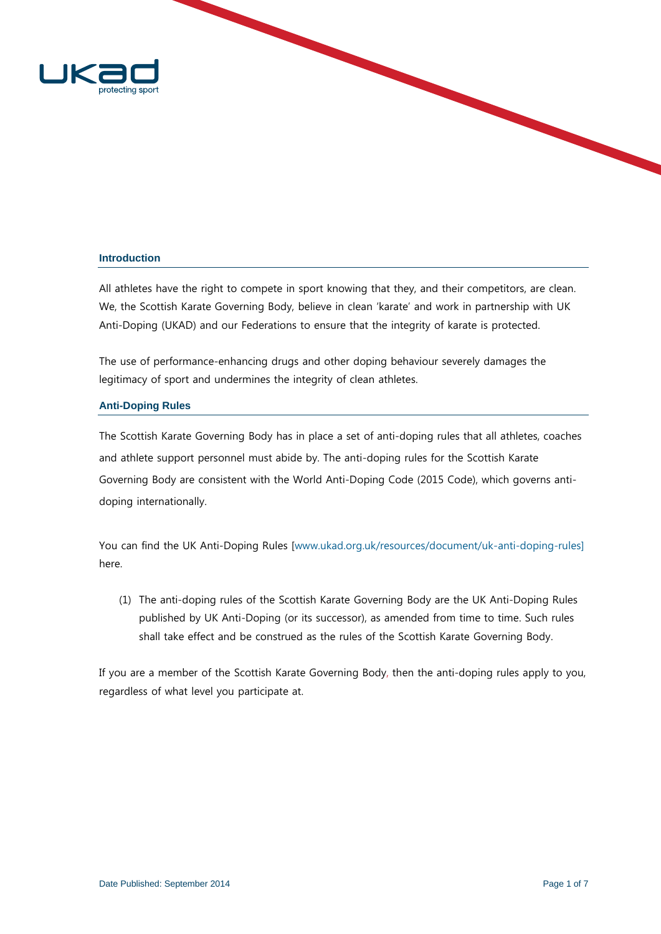

## **Introduction**

All athletes have the right to compete in sport knowing that they, and their competitors, are clean. We, the Scottish Karate Governing Body, believe in clean 'karate' and work in partnership with UK Anti-Doping (UKAD) and our Federations to ensure that the integrity of karate is protected.

The use of performance-enhancing drugs and other doping behaviour severely damages the legitimacy of sport and undermines the integrity of clean athletes.

## **Anti-Doping Rules**

The Scottish Karate Governing Body has in place a set of anti-doping rules that all athletes, coaches and athlete support personnel must abide by. The anti-doping rules for the Scottish Karate Governing Body are consistent with the World Anti-Doping Code (2015 Code), which governs antidoping internationally.

You can find the UK Anti-Doping Rules [www.ukad.org.uk/resources/document/uk-anti-doping-rules] here.

(1) The anti-doping rules of the Scottish Karate Governing Body are the UK Anti-Doping Rules published by UK Anti-Doping (or its successor), as amended from time to time. Such rules shall take effect and be construed as the rules of the Scottish Karate Governing Body.

If you are a member of the Scottish Karate Governing Body, then the anti-doping rules apply to you, regardless of what level you participate at.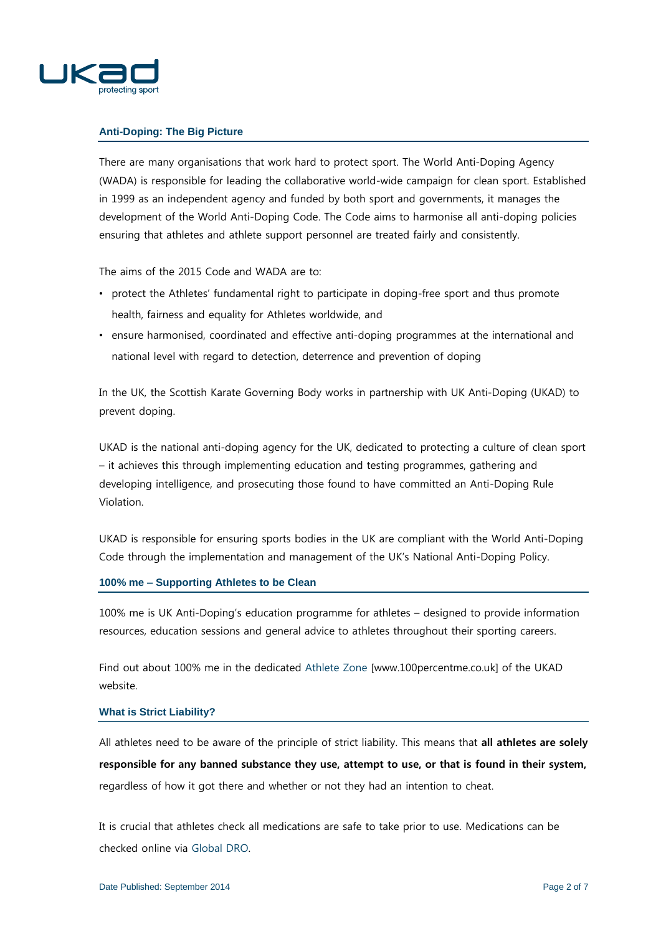

# **Anti-Doping: The Big Picture**

There are many organisations that work hard to protect sport. The World Anti-Doping Agency (WADA) is responsible for leading the collaborative world-wide campaign for clean sport. Established in 1999 as an independent agency and funded by both sport and governments, it manages the development of the World Anti-Doping Code. The Code aims to harmonise all anti-doping policies ensuring that athletes and athlete support personnel are treated fairly and consistently.

The aims of the 2015 Code and WADA are to:

- protect the Athletes' fundamental right to participate in doping-free sport and thus promote health, fairness and equality for Athletes worldwide, and
- ensure harmonised, coordinated and effective anti-doping programmes at the international and national level with regard to detection, deterrence and prevention of doping

In the UK, the Scottish Karate Governing Body works in partnership with UK Anti-Doping (UKAD) to prevent doping.

UKAD is the national anti-doping agency for the UK, dedicated to protecting a culture of clean sport – it achieves this through implementing education and testing programmes, gathering and developing intelligence, and prosecuting those found to have committed an Anti-Doping Rule Violation.

UKAD is responsible for ensuring sports bodies in the UK are compliant with the World Anti-Doping Code through the implementation and management of the UK's National Anti-Doping Policy.

### **100% me – Supporting Athletes to be Clean**

100% me is UK Anti-Doping's education programme for athletes – designed to provide information resources, education sessions and general advice to athletes throughout their sporting careers.

Find out about 100% me in the dedicated [Athlete Zone](http://www.100percentme.co.uk/) [\[www.100percentme.co.uk\]](http://www.100percentme.co.uk/) of the UKAD website.

#### **What is Strict Liability?**

All athletes need to be aware of the principle of strict liability. This means that **all athletes are solely responsible for any banned substance they use, attempt to use, or that is found in their system,**  regardless of how it got there and whether or not they had an intention to cheat.

It is crucial that athletes check all medications are safe to take prior to use. Medications can be checked online via [Global DRO.](http://www.globaldro.com/uk-en/)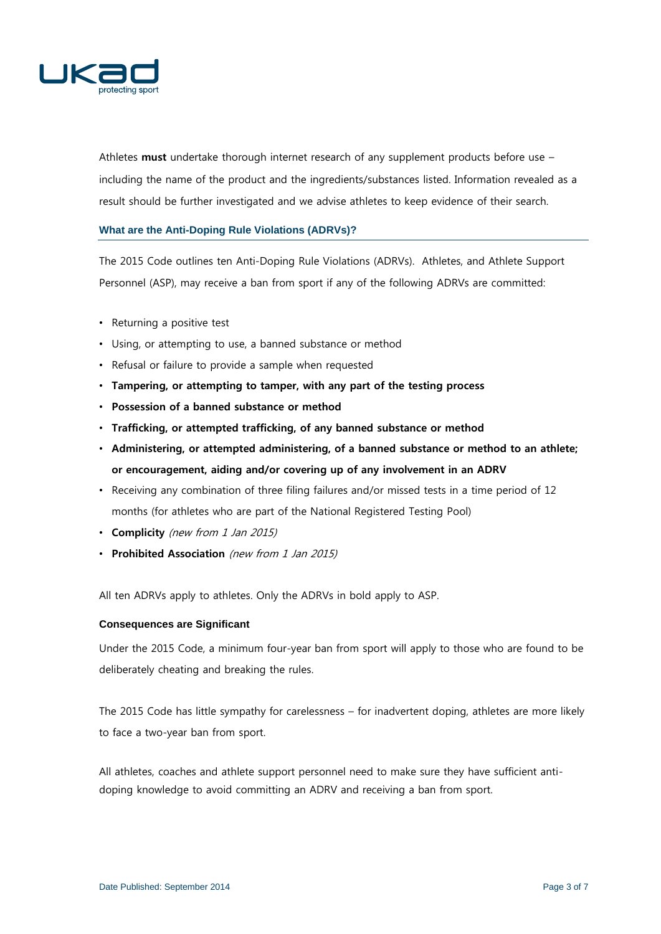

Athletes **must** undertake thorough internet research of any supplement products before use – including the name of the product and the ingredients/substances listed. Information revealed as a result should be further investigated and we advise athletes to keep evidence of their search.

# **What are the Anti-Doping Rule Violations (ADRVs)?**

The 2015 Code outlines ten Anti-Doping Rule Violations (ADRVs). Athletes, and Athlete Support Personnel (ASP), may receive a ban from sport if any of the following ADRVs are committed:

- Returning a positive test
- Using, or attempting to use, a banned substance or method
- Refusal or failure to provide a sample when requested
- **Tampering, or attempting to tamper, with any part of the testing process**
- **Possession of a banned substance or method**
- **Trafficking, or attempted trafficking, of any banned substance or method**
- **Administering, or attempted administering, of a banned substance or method to an athlete; or encouragement, aiding and/or covering up of any involvement in an ADRV**
- Receiving any combination of three filing failures and/or missed tests in a time period of 12 months (for athletes who are part of the National Registered Testing Pool)
- **Complicity** (new from 1 Jan 2015)
- **Prohibited Association** (new from 1 Jan 2015)

All ten ADRVs apply to athletes. Only the ADRVs in bold apply to ASP.

## **Consequences are Significant**

Under the 2015 Code, a minimum four-year ban from sport will apply to those who are found to be deliberately cheating and breaking the rules.

The 2015 Code has little sympathy for carelessness – for inadvertent doping, athletes are more likely to face a two-year ban from sport.

All athletes, coaches and athlete support personnel need to make sure they have sufficient antidoping knowledge to avoid committing an ADRV and receiving a ban from sport.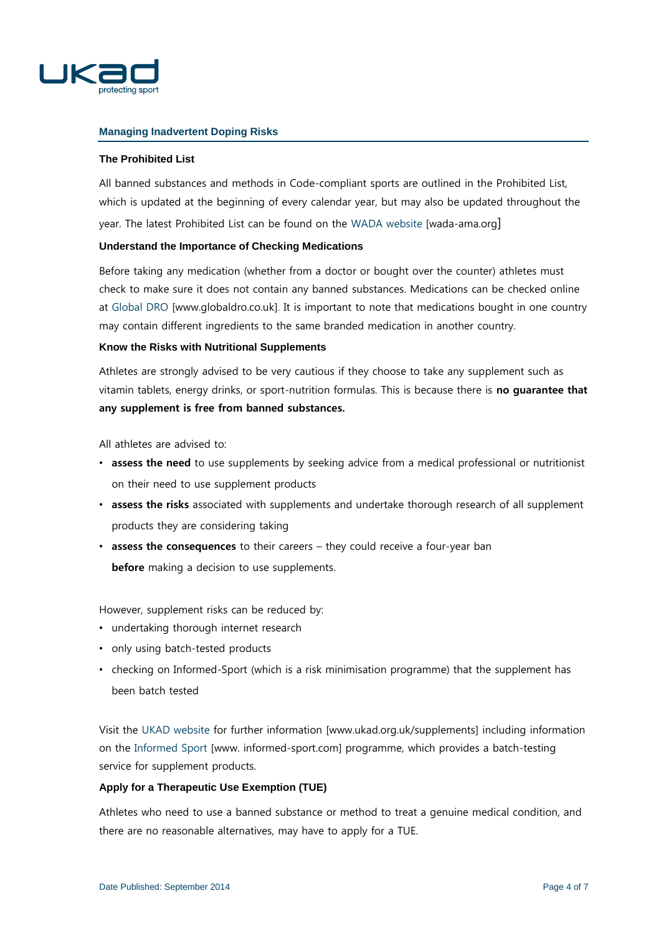

# **Managing Inadvertent Doping Risks**

# **The Prohibited List**

All banned substances and methods in Code-compliant sports are outlined in the Prohibited List, which is updated at the beginning of every calendar year, but may also be updated throughout the year. The latest Prohibited List can be found on the [WADA website](http://portal/home/commsed/pubdocs/Spare%20Two/Clean%20Sport%20Forum%202014/CSF%20Resources%20for%20Production/Comms%20Check%20Folder/wada-ama.org) [wada-ama.org]

### **Understand the Importance of Checking Medications**

Before taking any medication (whether from a doctor or bought over the counter) athletes must check to make sure it does not contain any banned substances. Medications can be checked online at [Global DRO](http://www.globaldro.co.uk/) [www.globaldro.co.uk]. It is important to note that medications bought in one country may contain different ingredients to the same branded medication in another country.

## **Know the Risks with Nutritional Supplements**

Athletes are strongly advised to be very cautious if they choose to take any supplement such as vitamin tablets, energy drinks, or sport-nutrition formulas. This is because there is **no guarantee that any supplement is free from banned substances.** 

All athletes are advised to:

- **assess the need** to use supplements by seeking advice from a medical professional or nutritionist on their need to use supplement products
- **assess the risks** associated with supplements and undertake thorough research of all supplement products they are considering taking
- **assess the consequences** to their careers they could receive a four-year ban **before** making a decision to use supplements.

However, supplement risks can be reduced by:

- undertaking thorough internet research
- only using batch-tested products
- checking on Informed-Sport (which is a risk minimisation programme) that the supplement has been batch tested

Visit the [UKAD website](http://www.ukad.org.uk/supplements) for further information [www.ukad.org.uk/supplements] including information on the [Informed Sport](http://www.informed-sport.com/) [www. informed-sport.com] programme, which provides a batch-testing service for supplement products.

# **Apply for a Therapeutic Use Exemption (TUE)**

Athletes who need to use a banned substance or method to treat a genuine medical condition, and there are no reasonable alternatives, may have to apply for a TUE.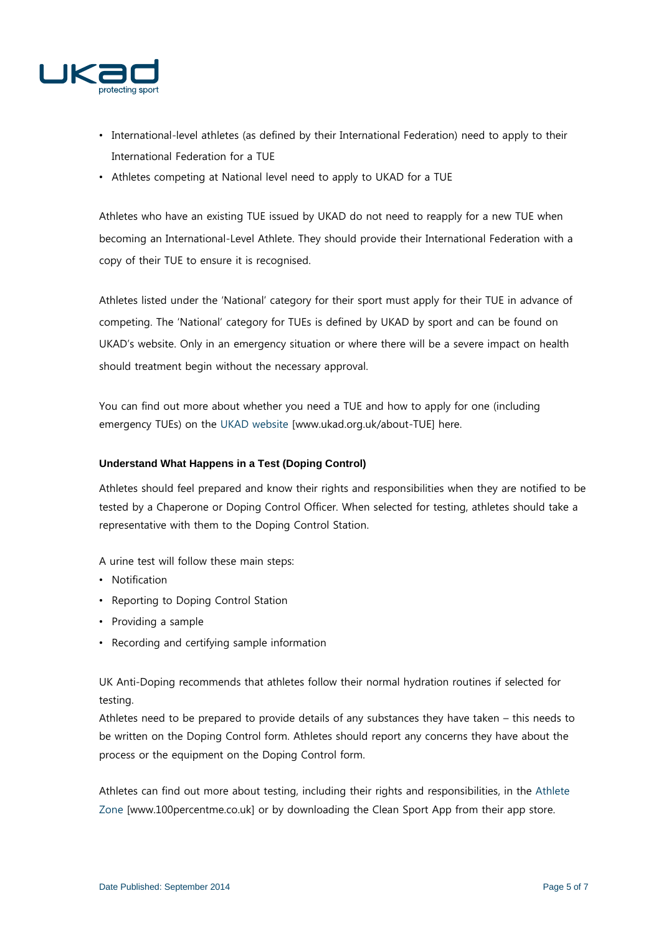

- International-level athletes (as defined by their International Federation) need to apply to their International Federation for a TUE
- Athletes competing at National level need to apply to UKAD for a TUE

Athletes who have an existing TUE issued by UKAD do not need to reapply for a new TUE when becoming an International-Level Athlete. They should provide their International Federation with a copy of their TUE to ensure it is recognised.

Athletes listed under the 'National' category for their sport must apply for their TUE in advance of competing. The 'National' category for TUEs is defined by UKAD by sport and can be found on UKAD's website. Only in an emergency situation or where there will be a severe impact on health should treatment begin without the necessary approval.

You can find out more about whether you need a TUE and how to apply for one (including emergency TUEs) on the [UKAD website](http://www.ukad.org.uk/about-TUE) [\[www.ukad.org.uk/about-TUE\] here.](http://www.ukad.org.uk/about-TUEhere)

# **Understand What Happens in a Test (Doping Control)**

Athletes should feel prepared and know their rights and responsibilities when they are notified to be tested by a Chaperone or Doping Control Officer. When selected for testing, athletes should take a representative with them to the Doping Control Station.

A urine test will follow these main steps:

- Notification
- Reporting to Doping Control Station
- Providing a sample
- Recording and certifying sample information

UK Anti-Doping recommends that athletes follow their normal hydration routines if selected for testing.

Athletes need to be prepared to provide details of any substances they have taken – this needs to be written on the Doping Control form. Athletes should report any concerns they have about the process or the equipment on the Doping Control form.

Athletes can find out more about testing, including their rights and responsibilities, in the [Athlete](http://www.100percentme.co.uk/)  [Zone](http://www.100percentme.co.uk/) [\[www.100percentme.co.uk\]](http://www.100percentme.co.uk/) or by downloading the Clean Sport App from their app store.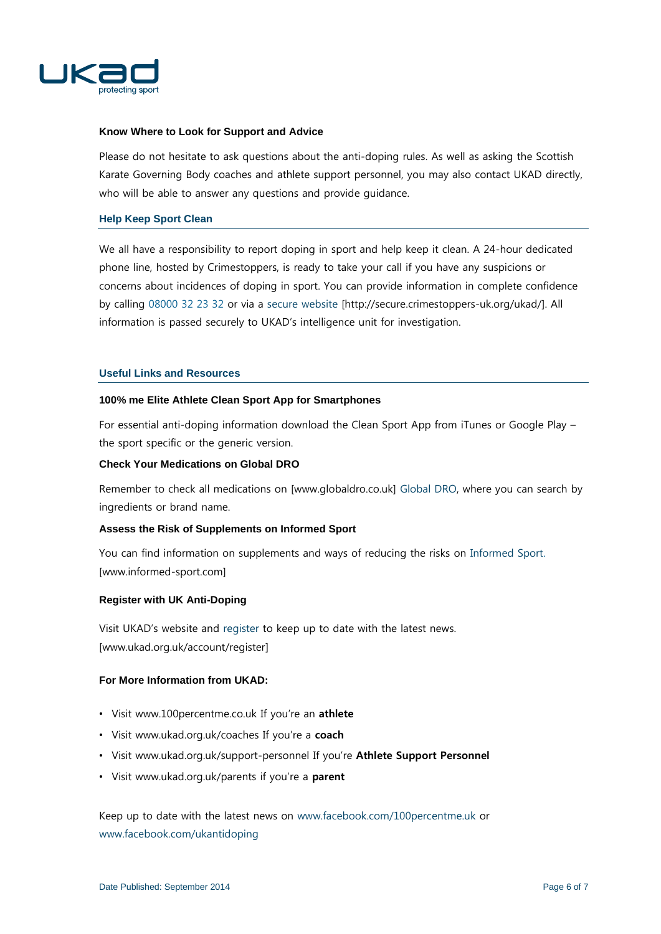

### **Know Where to Look for Support and Advice**

Please do not hesitate to ask questions about the anti-doping rules. As well as asking the Scottish Karate Governing Body coaches and athlete support personnel, you may also contact UKAD directly, who will be able to answer any questions and provide guidance.

### **Help Keep Sport Clean**

We all have a responsibility to report doping in sport and help keep it clean. A 24-hour dedicated phone line, hosted by Crimestoppers, is ready to take your call if you have any suspicions or concerns about incidences of doping in sport. You can provide information in complete confidence by calling 08000 32 23 32 or via a [secure website](http://secure.crimestoppers-uk.org/ukad/) [http://secure.crimestoppers-uk.org/ukad/]. All information is passed securely to UKAD's intelligence unit for investigation.

### **Useful Links and Resources**

### **100% me Elite Athlete Clean Sport App for Smartphones**

For essential anti-doping information download the Clean Sport App from iTunes or Google Play – the sport specific or the generic version.

## **Check Your Medications on Global DRO**

Remember to check all medications on [www.globaldro.co.uk] [Global DRO,](http://www.globaldro.co.uk/) where you can search by ingredients or brand name.

# **Assess the Risk of Supplements on Informed Sport**

You can find information on supplements and ways of reducing the risks on [Informed Sport.](http://www.informed-sport.com/)  [www.informed-sport.com]

### **Register with UK Anti-Doping**

Visit UKAD's website and [register](http://www.ukad.org.uk/account/register) to keep up to date with the latest news. [www.ukad.org.uk/account/register]

### **For More Information from UKAD:**

- Visit www.100percentme.co.uk If you're an **athlete**
- Visit www.ukad.org.uk/coaches If you're a **coach**
- Visit [www.ukad.org.uk/support-personnel](http://www.ukad.org.uk/support-personnel) If you're **Athlete Support Personnel**
- Visit [www.ukad.org.uk/parents](http://www.ukad.org.uk/parents) if you're a **parent**

Keep up to date with the latest news on [www.facebook.com/100percentme.uk](http://www.facebook.com/100percentme.uk) or [www.facebook.com/ukantidoping](http://www.facebook.com/ukantidoping)